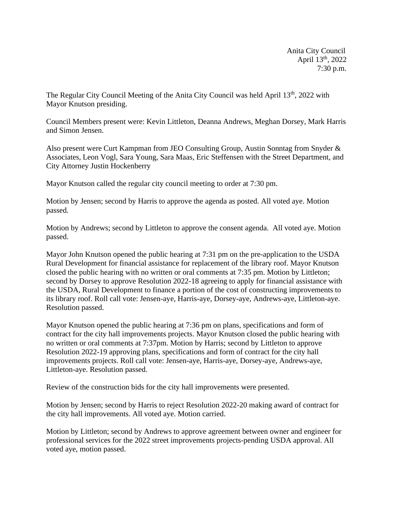Anita City Council April 13th, 2022 7:30 p.m.

The Regular City Council Meeting of the Anita City Council was held April 13<sup>th</sup>, 2022 with Mayor Knutson presiding.

Council Members present were: Kevin Littleton, Deanna Andrews, Meghan Dorsey, Mark Harris and Simon Jensen.

Also present were Curt Kampman from JEO Consulting Group, Austin Sonntag from Snyder & Associates, Leon Vogl, Sara Young, Sara Maas, Eric Steffensen with the Street Department, and City Attorney Justin Hockenberry

Mayor Knutson called the regular city council meeting to order at 7:30 pm.

Motion by Jensen; second by Harris to approve the agenda as posted. All voted aye. Motion passed.

Motion by Andrews; second by Littleton to approve the consent agenda. All voted aye. Motion passed.

Mayor John Knutson opened the public hearing at 7:31 pm on the pre-application to the USDA Rural Development for financial assistance for replacement of the library roof. Mayor Knutson closed the public hearing with no written or oral comments at 7:35 pm. Motion by Littleton; second by Dorsey to approve Resolution 2022-18 agreeing to apply for financial assistance with the USDA, Rural Development to finance a portion of the cost of constructing improvements to its library roof. Roll call vote: Jensen-aye, Harris-aye, Dorsey-aye, Andrews-aye, Littleton-aye. Resolution passed.

Mayor Knutson opened the public hearing at 7:36 pm on plans, specifications and form of contract for the city hall improvements projects. Mayor Knutson closed the public hearing with no written or oral comments at 7:37pm. Motion by Harris; second by Littleton to approve Resolution 2022-19 approving plans, specifications and form of contract for the city hall improvements projects. Roll call vote: Jensen-aye, Harris-aye, Dorsey-aye, Andrews-aye, Littleton-aye. Resolution passed.

Review of the construction bids for the city hall improvements were presented.

Motion by Jensen; second by Harris to reject Resolution 2022-20 making award of contract for the city hall improvements. All voted aye. Motion carried.

Motion by Littleton; second by Andrews to approve agreement between owner and engineer for professional services for the 2022 street improvements projects-pending USDA approval. All voted aye, motion passed.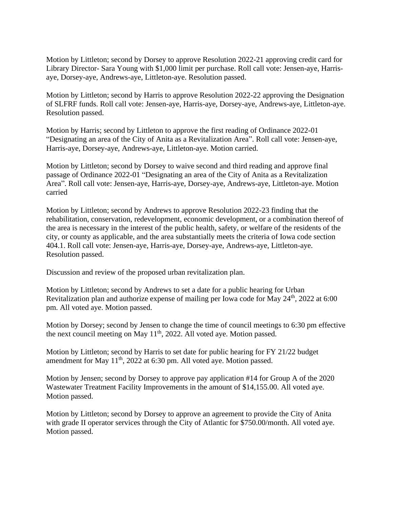Motion by Littleton; second by Dorsey to approve Resolution 2022-21 approving credit card for Library Director- Sara Young with \$1,000 limit per purchase. Roll call vote: Jensen-aye, Harrisaye, Dorsey-aye, Andrews-aye, Littleton-aye. Resolution passed.

Motion by Littleton; second by Harris to approve Resolution 2022-22 approving the Designation of SLFRF funds. Roll call vote: Jensen-aye, Harris-aye, Dorsey-aye, Andrews-aye, Littleton-aye. Resolution passed.

Motion by Harris; second by Littleton to approve the first reading of Ordinance 2022-01 "Designating an area of the City of Anita as a Revitalization Area". Roll call vote: Jensen-aye, Harris-aye, Dorsey-aye, Andrews-aye, Littleton-aye. Motion carried.

Motion by Littleton; second by Dorsey to waive second and third reading and approve final passage of Ordinance 2022-01 "Designating an area of the City of Anita as a Revitalization Area". Roll call vote: Jensen-aye, Harris-aye, Dorsey-aye, Andrews-aye, Littleton-aye. Motion carried

Motion by Littleton; second by Andrews to approve Resolution 2022-23 finding that the rehabilitation, conservation, redevelopment, economic development, or a combination thereof of the area is necessary in the interest of the public health, safety, or welfare of the residents of the city, or county as applicable, and the area substantially meets the criteria of Iowa code section 404.1. Roll call vote: Jensen-aye, Harris-aye, Dorsey-aye, Andrews-aye, Littleton-aye. Resolution passed.

Discussion and review of the proposed urban revitalization plan.

Motion by Littleton; second by Andrews to set a date for a public hearing for Urban Revitalization plan and authorize expense of mailing per Iowa code for May 24<sup>th</sup>, 2022 at 6:00 pm. All voted aye. Motion passed.

Motion by Dorsey; second by Jensen to change the time of council meetings to 6:30 pm effective the next council meeting on May 11<sup>th</sup>, 2022. All voted aye. Motion passed.

Motion by Littleton; second by Harris to set date for public hearing for FY 21/22 budget amendment for May  $11<sup>th</sup>$ , 2022 at 6:30 pm. All voted aye. Motion passed.

Motion by Jensen; second by Dorsey to approve pay application #14 for Group A of the 2020 Wastewater Treatment Facility Improvements in the amount of \$14,155.00. All voted aye. Motion passed.

Motion by Littleton; second by Dorsey to approve an agreement to provide the City of Anita with grade II operator services through the City of Atlantic for \$750.00/month. All voted aye. Motion passed.